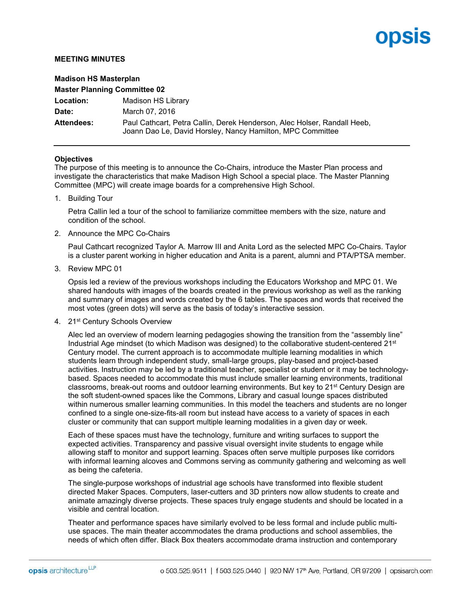# opsis

# **MEETING MINUTES**

| <b>Madison HS Masterplan</b>        |                                                                                                                                        |
|-------------------------------------|----------------------------------------------------------------------------------------------------------------------------------------|
| <b>Master Planning Committee 02</b> |                                                                                                                                        |
| <b>Location:</b>                    | Madison HS Library                                                                                                                     |
| Date:                               | March 07, 2016                                                                                                                         |
| <b>Attendees:</b>                   | Paul Cathcart, Petra Callin, Derek Henderson, Alec Holser, Randall Heeb,<br>Joann Dao Le, David Horsley, Nancy Hamilton, MPC Committee |

#### **Objectives**

The purpose of this meeting is to announce the Co-Chairs, introduce the Master Plan process and investigate the characteristics that make Madison High School a special place. The Master Planning Committee (MPC) will create image boards for a comprehensive High School.

1. Building Tour

Petra Callin led a tour of the school to familiarize committee members with the size, nature and condition of the school.

2. Announce the MPC Co-Chairs

Paul Cathcart recognized Taylor A. Marrow III and Anita Lord as the selected MPC Co-Chairs. Taylor is a cluster parent working in higher education and Anita is a parent, alumni and PTA/PTSA member.

3. Review MPC 01

Opsis led a review of the previous workshops including the Educators Workshop and MPC 01. We shared handouts with images of the boards created in the previous workshop as well as the ranking and summary of images and words created by the 6 tables. The spaces and words that received the most votes (green dots) will serve as the basis of today's interactive session.

4. 21st Century Schools Overview

Alec led an overview of modern learning pedagogies showing the transition from the "assembly line" Industrial Age mindset (to which Madison was designed) to the collaborative student-centered 21st Century model. The current approach is to accommodate multiple learning modalities in which students learn through independent study, small-large groups, play-based and project-based activities. Instruction may be led by a traditional teacher, specialist or student or it may be technologybased. Spaces needed to accommodate this must include smaller learning environments, traditional classrooms, break-out rooms and outdoor learning environments. But key to 21st Century Design are the soft student-owned spaces like the Commons, Library and casual lounge spaces distributed within numerous smaller learning communities. In this model the teachers and students are no longer confined to a single one-size-fits-all room but instead have access to a variety of spaces in each cluster or community that can support multiple learning modalities in a given day or week.

Each of these spaces must have the technology, furniture and writing surfaces to support the expected activities. Transparency and passive visual oversight invite students to engage while allowing staff to monitor and support learning. Spaces often serve multiple purposes like corridors with informal learning alcoves and Commons serving as community gathering and welcoming as well as being the cafeteria.

The single-purpose workshops of industrial age schools have transformed into flexible student directed Maker Spaces. Computers, laser-cutters and 3D printers now allow students to create and animate amazingly diverse projects. These spaces truly engage students and should be located in a visible and central location.

Theater and performance spaces have similarly evolved to be less formal and include public multiuse spaces. The main theater accommodates the drama productions and school assemblies, the needs of which often differ. Black Box theaters accommodate drama instruction and contemporary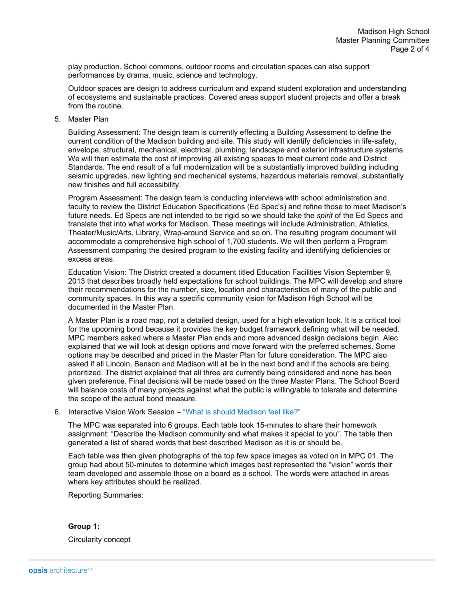play production. School commons, outdoor rooms and circulation spaces can also support performances by drama, music, science and technology.

Outdoor spaces are design to address curriculum and expand student exploration and understanding of ecosystems and sustainable practices. Covered areas support student projects and offer a break from the routine.

5. Master Plan

Building Assessment: The design team is currently effecting a Building Assessment to define the current condition of the Madison building and site. This study will identify deficiencies in life-safety, envelope, structural, mechanical, electrical, plumbing, landscape and exterior infrastructure systems. We will then estimate the cost of improving all existing spaces to meet current code and District Standards. The end result of a full modernization will be a substantially improved building including seismic upgrades, new lighting and mechanical systems, hazardous materials removal, substantially new finishes and full accessibility.

Program Assessment: The design team is conducting interviews with school administration and faculty to review the District Education Specifications (Ed Spec's) and refine those to meet Madison's future needs. Ed Specs are not intended to be rigid so we should take the *spirit* of the Ed Specs and translate that into what works for Madison. These meetings will include Administration, Athletics, Theater/Music/Arts, Library, Wrap-around Service and so on. The resulting program document will accommodate a comprehensive high school of 1,700 students. We will then perform a Program Assessment comparing the desired program to the existing facility and identifying deficiencies or excess areas.

Education Vision: The District created a document titled Education Facilities Vision September 9, 2013 that describes broadly held expectations for school buildings. The MPC will develop and share their recommendations for the number, size, location and characteristics of many of the public and community spaces. In this way a specific community vision for Madison High School will be documented in the Master Plan.

A Master Plan is a road map, not a detailed design, used for a high elevation look. It is a critical tool for the upcoming bond because it provides the key budget framework defining what will be needed. MPC members asked where a Master Plan ends and more advanced design decisions begin. Alec explained that we will look at design options and move forward with the preferred schemes. Some options may be described and priced in the Master Plan for future consideration. The MPC also asked if all Lincoln, Benson and Madison will all be in the next bond and if the schools are being prioritized. The district explained that all three are currently being considered and none has been given preference. Final decisions will be made based on the three Master Plans. The School Board will balance costs of many projects against what the public is willing/able to tolerate and determine the scope of the actual bond measure.

# 6. Interactive Vision Work Session – "What is should Madison feel like?"

The MPC was separated into 6 groups. Each table took 15-minutes to share their homework assignment: "Describe the Madison community and what makes it special to you". The table then generated a list of shared words that best described Madison as it is or should be.

Each table was then given photographs of the top few space images as voted on in MPC 01. The group had about 50-minutes to determine which images best represented the "vision" words their team developed and assemble those on a board as a school. The words were attached in areas where key attributes should be realized.

Reporting Summaries:

**Group 1:** Circularity concept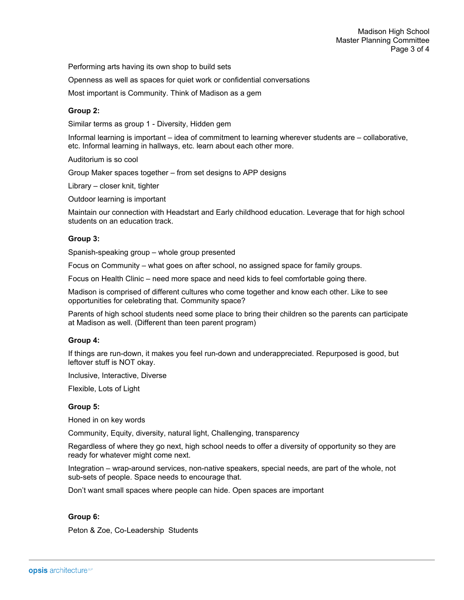Performing arts having its own shop to build sets

Openness as well as spaces for quiet work or confidential conversations

Most important is Community. Think of Madison as a gem

# **Group 2:**

Similar terms as group 1 - Diversity, Hidden gem

Informal learning is important – idea of commitment to learning wherever students are – collaborative, etc. Informal learning in hallways, etc. learn about each other more.

Auditorium is so cool

Group Maker spaces together – from set designs to APP designs

Library – closer knit, tighter

Outdoor learning is important

Maintain our connection with Headstart and Early childhood education. Leverage that for high school students on an education track.

#### **Group 3:**

Spanish-speaking group – whole group presented

Focus on Community – what goes on after school, no assigned space for family groups.

Focus on Health Clinic – need more space and need kids to feel comfortable going there.

Madison is comprised of different cultures who come together and know each other. Like to see opportunities for celebrating that. Community space?

Parents of high school students need some place to bring their children so the parents can participate at Madison as well. (Different than teen parent program)

### **Group 4:**

If things are run-down, it makes you feel run-down and underappreciated. Repurposed is good, but leftover stuff is NOT okay.

Inclusive, Interactive, Diverse

Flexible, Lots of Light

#### **Group 5:**

Honed in on key words

Community, Equity, diversity, natural light, Challenging, transparency

Regardless of where they go next, high school needs to offer a diversity of opportunity so they are ready for whatever might come next.

Integration – wrap-around services, non-native speakers, special needs, are part of the whole, not sub-sets of people. Space needs to encourage that.

Don't want small spaces where people can hide. Open spaces are important

#### **Group 6:**

Peton & Zoe, Co-Leadership Students